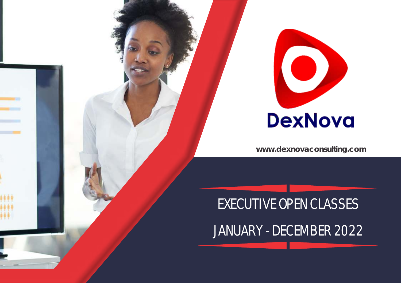

## EXECUTIVE OPEN CLASSES

JANUARY - DECEMBER 2022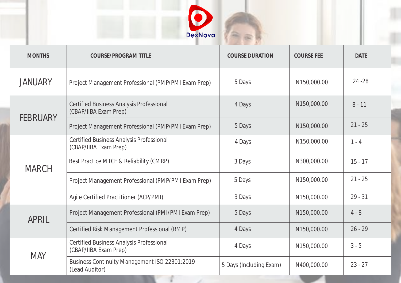

| <b>MONTHS</b>   | <b>COURSE/PROGRAM TITLE</b>                                              | <b>COURSE DURATION</b>  | <b>COURSE FEE</b> | <b>DATE</b> |
|-----------------|--------------------------------------------------------------------------|-------------------------|-------------------|-------------|
| <b>JANUARY</b>  | Project Management Professional (PMP/PMI Exam Prep)                      | 5 Days                  | N150,000.00       | $24 - 28$   |
| <b>FEBRUARY</b> | <b>Certified Business Analysis Professional</b><br>(CBAP/IIBA Exam Prep) | 4 Days                  | N150,000.00       | $8 - 11$    |
|                 | Project Management Professional (PMP/PMI Exam Prep)                      | 5 Days                  | N150,000.00       | $21 - 25$   |
| <b>MARCH</b>    | <b>Certified Business Analysis Professional</b><br>(CBAP/IIBA Exam Prep) | 4 Days                  | N150,000.00       | $1 - 4$     |
|                 | Best Practice MTCE & Reliability (CMRP)                                  | 3 Days                  | N300,000.00       | $15 - 17$   |
|                 | Project Management Professional (PMP/PMI Exam Prep)                      | 5 Days                  | N150,000.00       | $21 - 25$   |
|                 | Agile Certified Practitioner (ACP/PMI)                                   | 3 Days                  | N150,000.00       | $29 - 31$   |
| <b>APRIL</b>    | Project Management Professional (PMI/PMI Exam Prep)                      | 5 Days                  | N150,000.00       | $4 - 8$     |
|                 | Certified Risk Management Professional (RMP)                             | 4 Days                  | N150,000.00       | $26 - 29$   |
| <b>MAY</b>      | <b>Certified Business Analysis Professional</b><br>(CBAP/IIBA Exam Prep) | 4 Days                  | N150,000.00       | $3 - 5$     |
|                 | Business Continuity Management ISO 22301:2019<br>(Lead Auditor)          | 5 Days (Including Exam) | N400,000.00       | $23 - 27$   |

d.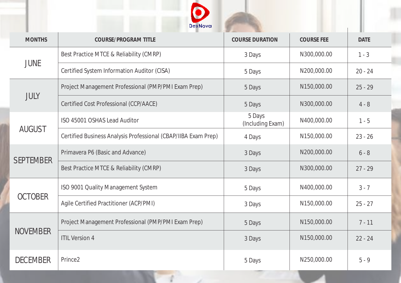

| <b>MONTHS</b>    | COURSE/PROGRAM TITLE                                           | <b>COURSE DURATION</b>     | <b>COURSE FEE</b> | <b>DATE</b> |
|------------------|----------------------------------------------------------------|----------------------------|-------------------|-------------|
| <b>JUNE</b>      | Best Practice MTCE & Reliability (CMRP)                        | 3 Days                     | N300,000.00       | $1 - 3$     |
|                  | Certified System Information Auditor (CISA)                    | 5 Days                     | N200,000.00       | $20 - 24$   |
| <b>JULY</b>      | Project Management Professional (PMP/PMI Exam Prep)            | 5 Days                     | N150,000.00       | $25 - 29$   |
|                  | Certified Cost Professional (CCP/AACE)                         | 5 Days                     | N300,000.00       | $4 - 8$     |
| <b>AUGUST</b>    | ISO 45001 OSHAS Lead Auditor                                   | 5 Days<br>(Including Exam) | N400,000.00       | $1 - 5$     |
|                  | Certified Business Analysis Professional (CBAP/IIBA Exam Prep) | 4 Days                     | N150,000.00       | $23 - 26$   |
| <b>SEPTEMBER</b> | Primavera P6 (Basic and Advance)                               | 3 Days                     | N200,000.00       | $6 - 8$     |
|                  | Best Practice MTCE & Reliability (CMRP)                        | 3 Days                     | N300,000.00       | $27 - 29$   |
| <b>OCTOBER</b>   | ISO 9001 Quality Management System                             | 5 Days                     | N400,000.00       | $3 - 7$     |
|                  | Agile Certified Practitioner (ACP/PMI)                         | 3 Days                     | N150,000.00       | $25 - 27$   |
| <b>NOVEMBER</b>  | Project Management Professional (PMP/PMI Exam Prep)            | 5 Days                     | N150,000.00       | $7 - 11$    |
|                  | <b>ITIL Version 4</b>                                          | 3 Days                     | N150,000.00       | $22 - 24$   |
| <b>DECEMBER</b>  | Prince <sub>2</sub>                                            | 5 Days                     | N250,000.00       | $5 - 9$     |

al.

f.